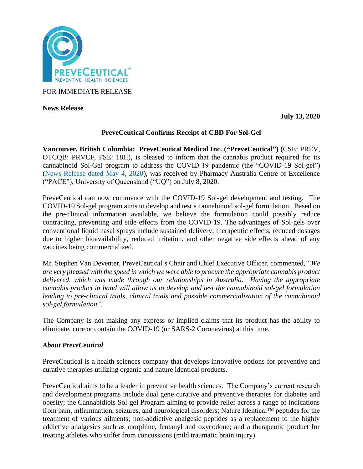

FOR IMMEDIATE RELEASE

**News Release** 

**July 13, 2020**

# **PreveCeutical Confirms Receipt of CBD For Sol-Gel**

**Vancouver, British Columbia: PreveCeutical Medical Inc. ("PreveCeutical")** (CSE: PREV, OTCQB: PRVCF, FSE: 18H), is pleased to inform that the cannabis product required for its cannabinoid Sol-Gel program to address the COVID-19 pandemic (the "COVID-19 Sol-gel") [\(News Release dated May 4, 2020\)](https://www.preveceutical.com/investors/news/preveceutical-announces-possible-viral-prevention-program-using-cbd-sol-gel), was received by Pharmacy Australia Centre of Excellence ("PACE"), University of Queensland ("UQ") on July 8, 2020.

PreveCeutical can now commence with the COVID-19 Sol-gel development and testing. The COVID-19 Sol-gel program aims to develop and test a cannabinoid sol-gel formulation. Based on the pre-clinical information available, we believe the formulation could possibly reduce contracting, preventing and side effects from the COVID-19. The advantages of Sol-gels over conventional liquid nasal sprays include sustained delivery, therapeutic effects, reduced dosages due to higher bioavailability, reduced irritation, and other negative side effects ahead of any vaccines being commercialized.

Mr. Stephen Van Deventer, PreveCeutical's Chair and Chief Executive Officer, commented, *"We are very pleased with the speed in which we were able to procure the appropriate cannabis product delivered, which was made through our relationships in Australia. Having the appropriate cannabis product in hand will allow us to develop and test the cannabinoid sol-gel formulation leading to pre-clinical trials, clinical trials and possible commercialization of the cannabinoid sol-gel formulation".*

The Company is not making any express or implied claims that its product has the ability to eliminate, cure or contain the COVID-19 (or SARS-2 Coronavirus) at this time.

## *About PreveCeutical*

PreveCeutical is a health sciences company that develops innovative options for preventive and curative therapies utilizing organic and nature identical products.

PreveCeutical aims to be a leader in preventive health sciences. The Company's current research and development programs include dual gene curative and preventive therapies for diabetes and obesity; the Cannabidiols Sol-gel Program aiming to provide relief across a range of indications from pain, inflammation, seizures, and neurological disorders; Nature Identical™ peptides for the treatment of various ailments; non-addictive analgesic peptides as a replacement to the highly addictive analgesics such as morphine, fentanyl and oxycodone; and a therapeutic product for treating athletes who suffer from concussions (mild traumatic brain injury).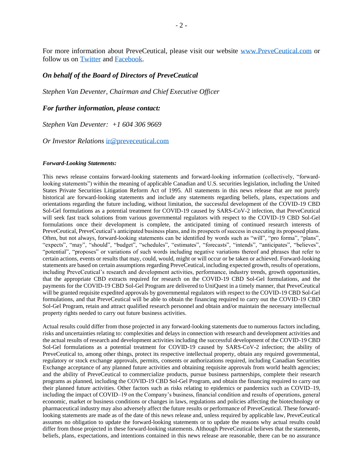For more information about PreveCeutical, please visit our website [www.PreveCeutical.com](http://www.preveceutical.com/) or follow us on [Twitter](http://twitter.com/PreveCeuticals) and [Facebook.](http://www.facebook.com/PreveCeutical)

### *On behalf of the Board of Directors of PreveCeutical*

*Stephen Van Deventer, Chairman and Chief Executive Officer*

#### *For further information, please contact:*

*Stephen Van Deventer: +1 604 306 9669*

*Or Investor Relations* [ir@preveceutical.com](mailto:ir@preveceutical.com)

#### *Forward-Looking Statements:*

This news release contains forward-looking statements and forward-looking information (collectively, "forwardlooking statements") within the meaning of applicable Canadian and U.S. securities legislation, including the United States Private Securities Litigation Reform Act of 1995. All statements in this news release that are not purely historical are forward-looking statements and include any statements regarding beliefs, plans, expectations and orientations regarding the future including, without limitation, the successful development of the COVID-19 CBD Sol-Gel formulations as a potential treatment for COVID-19 caused by SARS-CoV-2 infection, that PreveCeutical will seek fast track solutions from various governmental regulators with respect to the COVID-19 CBD Sol-Gel formulations once their development is complete, the anticipated timing of continued research interests of PreveCeutical, PreveCeutical's anticipated business plans, and its prospects of success in executing its proposed plans. Often, but not always, forward-looking statements can be identified by words such as "will", "pro forma", "plans", "expects", "may", "should", "budget", "schedules", "estimates", "forecasts", "intends", "anticipates", "believes", "potential", "proposes" or variations of such words including negative variations thereof and phrases that refer to certain actions, events or results that may, could, would, might or will occur or be taken or achieved. Forward-looking statements are based on certain assumptions regarding PreveCeutical, including expected growth, results of operations, including PreveCeutical's research and development activities, performance, industry trends, growth opportunities, that the appropriate CBD extracts required for research on the COVID-19 CBD Sol-Gel formulations, and the payments for the COVID-19 CBD Sol-Gel Program are delivered to UniQuest in a timely manner, that PreveCeutical will be granted requisite expedited approvals by governmental regulators with respect to the COVID-19 CBD Sol-Gel formulations, and that PreveCeutical will be able to obtain the financing required to carry out the COVID-19 CBD Sol-Gel Program, retain and attract qualified research personnel and obtain and/or maintain the necessary intellectual property rights needed to carry out future business activities.

Actual results could differ from those projected in any forward-looking statements due to numerous factors including, risks and uncertainties relating to: complexities and delays in connection with research and development activities and the actual results of research and development activities including the successful development of the COVID-19 CBD Sol-Gel formulations as a potential treatment for COVID-19 caused by SARS-CoV-2 infection; the ability of PreveCeutical to, among other things, protect its respective intellectual property, obtain any required governmental, regulatory or stock exchange approvals, permits, consents or authorizations required, including Canadian Securities Exchange acceptance of any planned future activities and obtaining requisite approvals from world health agencies; and the ability of PreveCeutical to commercialize products, pursue business partnerships, complete their research programs as planned, including the COVID-19 CBD Sol-Gel Program, and obtain the financing required to carry out their planned future activities. Other factors such as risks relating to epidemics or pandemics such as COVID–19, including the impact of COVID–19 on the Company's business, financial condition and results of operations, general economic, market or business conditions or changes in laws, regulations and policies affecting the biotechnology or pharmaceutical industry may also adversely affect the future results or performance of PreveCeutical. These forwardlooking statements are made as of the date of this news release and, unless required by applicable law, PreveCeutical assumes no obligation to update the forward-looking statements or to update the reasons why actual results could differ from those projected in these forward-looking statements. Although PreveCeutical believes that the statements, beliefs, plans, expectations, and intentions contained in this news release are reasonable, there can be no assurance